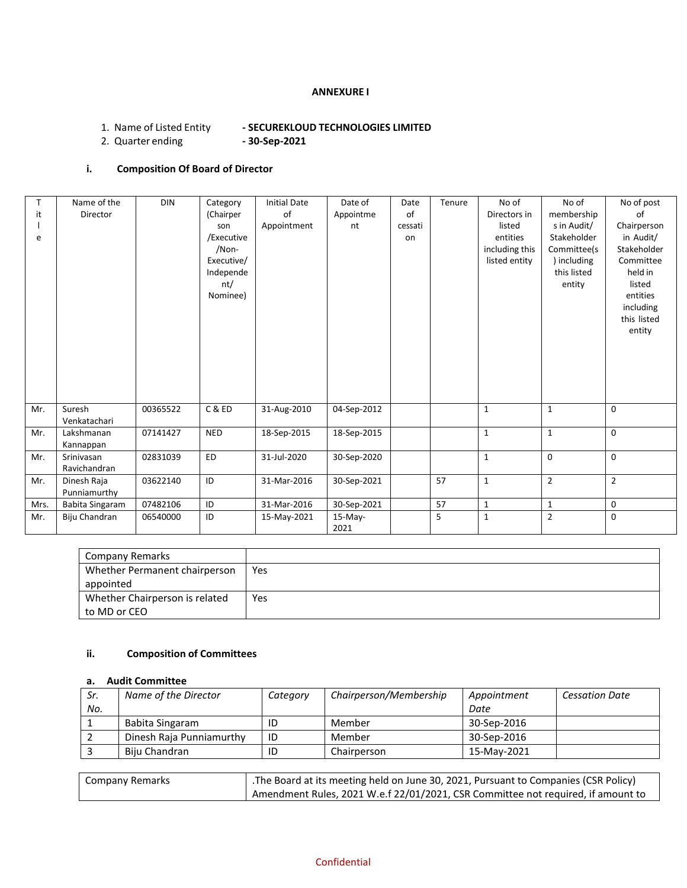## **ANNEXURE I**

# 1. Name of Listed Entity **- SECUREKLOUD TECHNOLOGIES LIMITED**

2. Quarter ending

# **i. Composition Of Board of Director**

| $\mathsf{T}$ | Name of the     | <b>DIN</b> | Category   | <b>Initial Date</b> | Date of     | Date    | Tenure | No of          | No of          | No of post               |
|--------------|-----------------|------------|------------|---------------------|-------------|---------|--------|----------------|----------------|--------------------------|
| it           | <b>Director</b> |            | (Chairper  | of                  | Appointme   | of      |        | Directors in   | membership     | of                       |
|              |                 |            | son        | Appointment         | nt          | cessati |        | listed         | s in Audit/    | Chairperson              |
| e            |                 |            | /Executive |                     |             | on      |        | entities       | Stakeholder    | in Audit/                |
|              |                 |            | /Non-      |                     |             |         |        | including this | Committee(s    | Stakeholder              |
|              |                 |            | Executive/ |                     |             |         |        | listed entity  | ) including    | Committee                |
|              |                 |            | Independe  |                     |             |         |        |                | this listed    | held in                  |
|              |                 |            | nt/        |                     |             |         |        |                | entity         | listed                   |
|              |                 |            | Nominee)   |                     |             |         |        |                |                | entities                 |
|              |                 |            |            |                     |             |         |        |                |                | including<br>this listed |
|              |                 |            |            |                     |             |         |        |                |                | entity                   |
|              |                 |            |            |                     |             |         |        |                |                |                          |
|              |                 |            |            |                     |             |         |        |                |                |                          |
|              |                 |            |            |                     |             |         |        |                |                |                          |
|              |                 |            |            |                     |             |         |        |                |                |                          |
|              |                 |            |            |                     |             |         |        |                |                |                          |
|              |                 |            |            |                     |             |         |        |                |                |                          |
| Mr.          | Suresh          | 00365522   | C&ED       | 31-Aug-2010         | 04-Sep-2012 |         |        | $\mathbf{1}$   | $\mathbf{1}$   | 0                        |
|              | Venkatachari    |            |            |                     |             |         |        |                |                |                          |
| Mr.          | Lakshmanan      | 07141427   | <b>NED</b> | 18-Sep-2015         | 18-Sep-2015 |         |        | $\mathbf{1}$   | $\mathbf{1}$   | 0                        |
|              | Kannappan       |            |            |                     |             |         |        |                |                |                          |
| Mr.          | Srinivasan      | 02831039   | ED         | 31-Jul-2020         | 30-Sep-2020 |         |        | $\mathbf{1}$   | $\mathbf 0$    | $\mathbf 0$              |
|              | Ravichandran    |            |            |                     |             |         |        |                |                |                          |
| Mr.          | Dinesh Raja     | 03622140   | ID         | 31-Mar-2016         | 30-Sep-2021 |         | 57     | $\mathbf{1}$   | $\overline{2}$ | $\overline{2}$           |
|              | Punniamurthy    |            |            |                     |             |         |        |                |                |                          |
| Mrs.         | Babita Singaram | 07482106   | ID         | 31-Mar-2016         | 30-Sep-2021 |         | 57     | 1              | 1              | 0                        |
| Mr.          | Biju Chandran   | 06540000   | ID         | 15-May-2021         | $15-May-$   |         | 5      | 1              | $\overline{2}$ | $\mathbf 0$              |
|              |                 |            |            |                     | 2021        |         |        |                |                |                          |

| Company Remarks                |     |
|--------------------------------|-----|
| Whether Permanent chairperson  | Yes |
| appointed                      |     |
| Whether Chairperson is related | Yes |
| to MD or CEO                   |     |

# **ii. Composition of Committees**

#### **a. Audit Committee**

| Sr. | Name of the Director     | Category | Chairperson/Membership | Appointment | <b>Cessation Date</b> |
|-----|--------------------------|----------|------------------------|-------------|-----------------------|
| No. |                          |          |                        | Date        |                       |
|     | Babita Singaram          | ID       | Member                 | 30-Sep-2016 |                       |
|     | Dinesh Raja Punniamurthy | ID       | Member                 | 30-Sep-2016 |                       |
|     | Biju Chandran            | ID       | Chairperson            | 15-May-2021 |                       |

| Company Remarks | The Board at its meeting held on June 30, 2021, Pursuant to Companies (CSR Policy) |
|-----------------|------------------------------------------------------------------------------------|
|                 | Amendment Rules, 2021 W.e.f 22/01/2021, CSR Committee not required, if amount to   |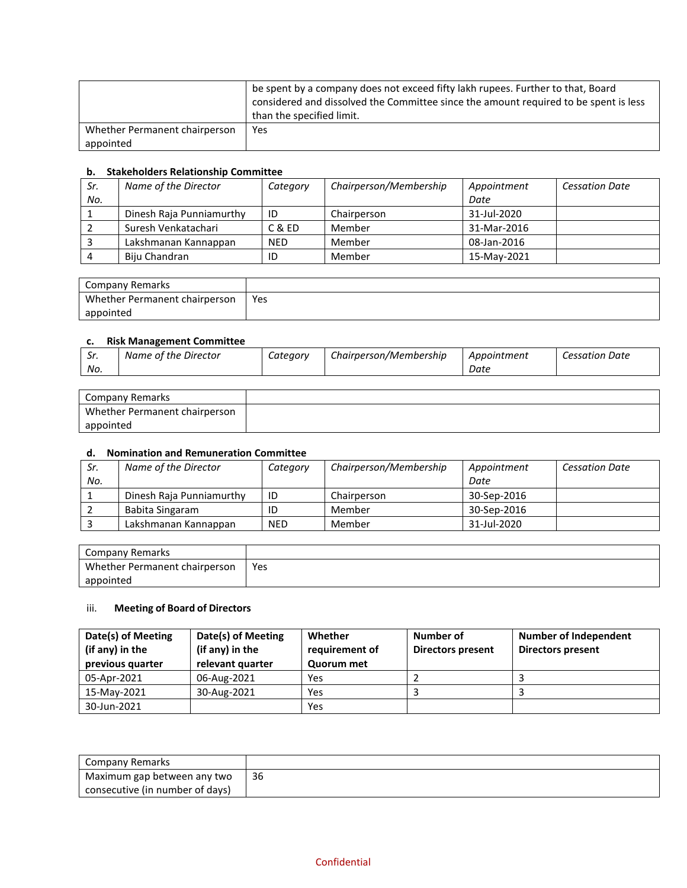|                               | be spent by a company does not exceed fifty lakh rupees. Further to that, Board<br>considered and dissolved the Committee since the amount required to be spent is less<br>than the specified limit. |
|-------------------------------|------------------------------------------------------------------------------------------------------------------------------------------------------------------------------------------------------|
| Whether Permanent chairperson | Yes                                                                                                                                                                                                  |
| appointed                     |                                                                                                                                                                                                      |

#### **b. Stakeholders Relationship Committee**

| Sr. | Name of the Director     | Category   | Chairperson/Membership | Appointment | <b>Cessation Date</b> |
|-----|--------------------------|------------|------------------------|-------------|-----------------------|
| No. |                          |            |                        | Date        |                       |
|     | Dinesh Raja Punniamurthy | ID         | Chairperson            | 31-Jul-2020 |                       |
|     | Suresh Venkatachari      | C & ED     | Member                 | 31-Mar-2016 |                       |
|     | Lakshmanan Kannappan     | <b>NED</b> | Member                 | 08-Jan-2016 |                       |
|     | Biju Chandran            | ID         | Member                 | 15-May-2021 |                       |

| Company Remarks               |     |
|-------------------------------|-----|
| Whether Permanent chairperson | Yes |
| appointed                     |     |

# **c. Risk Management Committee**

| Sr. | Name of the Director | Category | Chairperson/Membership | Appointment | <b>Cessation Date</b> |
|-----|----------------------|----------|------------------------|-------------|-----------------------|
| No. |                      |          |                        | Date        |                       |
|     |                      |          |                        |             |                       |

| Company Remarks               |  |
|-------------------------------|--|
| Whether Permanent chairperson |  |
| appointed                     |  |

### **d. Nomination and Remuneration Committee**

| Sr. | Name of the Director     | Category   | Chairperson/Membership | Appointment | <b>Cessation Date</b> |
|-----|--------------------------|------------|------------------------|-------------|-----------------------|
| No. |                          |            |                        | Date        |                       |
|     | Dinesh Raja Punniamurthy | ID         | Chairperson            | 30-Sep-2016 |                       |
|     | Babita Singaram          | ID         | Member                 | 30-Sep-2016 |                       |
|     | Lakshmanan Kannappan     | <b>NED</b> | Member                 | 31-Jul-2020 |                       |

| Company Remarks               |     |
|-------------------------------|-----|
| Whether Permanent chairperson | Yes |
| appointed                     |     |

## iii. **Meeting of Board of Directors**

| Date(s) of Meeting<br>(if any) in the<br>previous quarter | Date(s) of Meeting<br>(if any) in the<br>relevant quarter | Whether<br>requirement of<br>Quorum met | Number of<br>Directors present | Number of Independent<br><b>Directors present</b> |
|-----------------------------------------------------------|-----------------------------------------------------------|-----------------------------------------|--------------------------------|---------------------------------------------------|
| 05-Apr-2021                                               | 06-Aug-2021                                               | Yes                                     |                                |                                                   |
| 15-May-2021                                               | 30-Aug-2021                                               | Yes                                     |                                |                                                   |
| 30-Jun-2021                                               |                                                           | Yes                                     |                                |                                                   |

| Company Remarks                 |    |
|---------------------------------|----|
| Maximum gap between any two     | 36 |
| consecutive (in number of days) |    |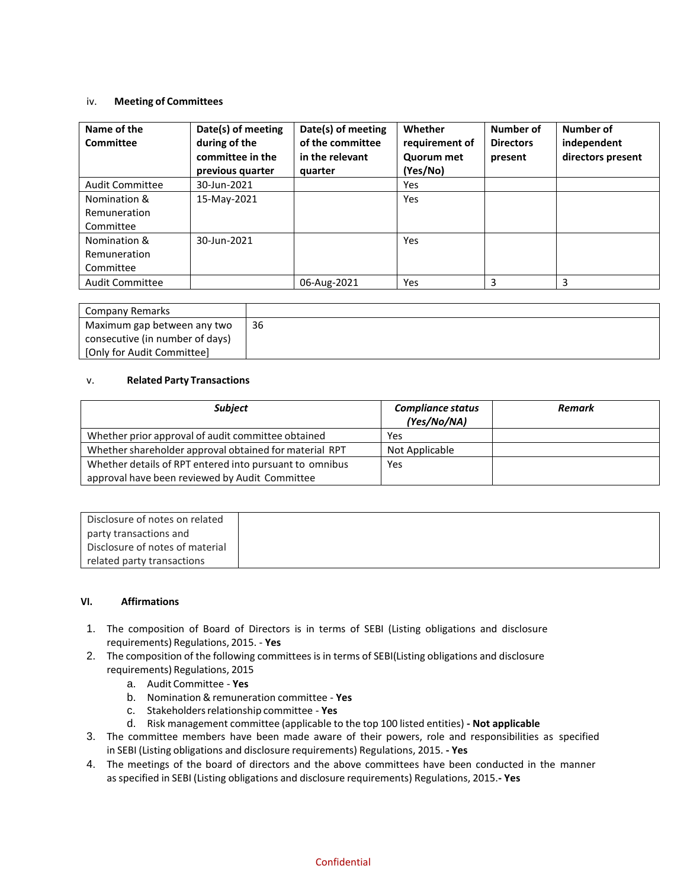#### iv. **Meeting of Committees**

| Name of the<br>Committee | Date(s) of meeting<br>during of the<br>committee in the<br>previous quarter | Date(s) of meeting<br>of the committee<br>in the relevant<br>quarter | Whether<br>requirement of<br>Quorum met<br>(Yes/No) | Number of<br><b>Directors</b><br>present | Number of<br>independent<br>directors present |
|--------------------------|-----------------------------------------------------------------------------|----------------------------------------------------------------------|-----------------------------------------------------|------------------------------------------|-----------------------------------------------|
| Audit Committee          | 30-Jun-2021                                                                 |                                                                      | Yes                                                 |                                          |                                               |
| Nomination &             | 15-May-2021                                                                 |                                                                      | Yes                                                 |                                          |                                               |
| Remuneration             |                                                                             |                                                                      |                                                     |                                          |                                               |
| Committee                |                                                                             |                                                                      |                                                     |                                          |                                               |
| Nomination &             | 30-Jun-2021                                                                 |                                                                      | <b>Yes</b>                                          |                                          |                                               |
| Remuneration             |                                                                             |                                                                      |                                                     |                                          |                                               |
| Committee                |                                                                             |                                                                      |                                                     |                                          |                                               |
| <b>Audit Committee</b>   |                                                                             | 06-Aug-2021                                                          | Yes                                                 | 3                                        | 3                                             |

| Company Remarks                 |    |
|---------------------------------|----|
| Maximum gap between any two     | 36 |
| consecutive (in number of days) |    |
| [Only for Audit Committee]      |    |

#### v. **Related Party Transactions**

| <b>Subject</b>                                                                                            | <b>Compliance status</b><br>(Yes/No/NA) | <b>Remark</b> |
|-----------------------------------------------------------------------------------------------------------|-----------------------------------------|---------------|
| Whether prior approval of audit committee obtained                                                        | Yes                                     |               |
| Whether shareholder approval obtained for material RPT                                                    | Not Applicable                          |               |
| Whether details of RPT entered into pursuant to omnibus<br>approval have been reviewed by Audit Committee | Yes                                     |               |

| Disclosure of notes on related  |
|---------------------------------|
| party transactions and          |
| Disclosure of notes of material |
| related party transactions      |

#### **VI. Affirmations**

- 1. The composition of Board of Directors is in terms of SEBI (Listing obligations and disclosure requirements) Regulations, 2015. - **Yes**
- 2. The composition of the following committees is in terms of SEBI(Listing obligations and disclosure requirements) Regulations, 2015
	- a. Audit Committee **Yes**
	- b. Nomination & remuneration committee **Yes**
	- c. Stakeholdersrelationship committee **Yes**
	- d. Risk management committee (applicable to the top 100 listed entities) **- Not applicable**
- 3. The committee members have been made aware of their powers, role and responsibilities as specified in SEBI (Listing obligations and disclosure requirements) Regulations, 2015. **- Yes**
- 4. The meetings of the board of directors and the above committees have been conducted in the manner as specified in SEBI (Listing obligations and disclosure requirements) Regulations, 2015.**- Yes**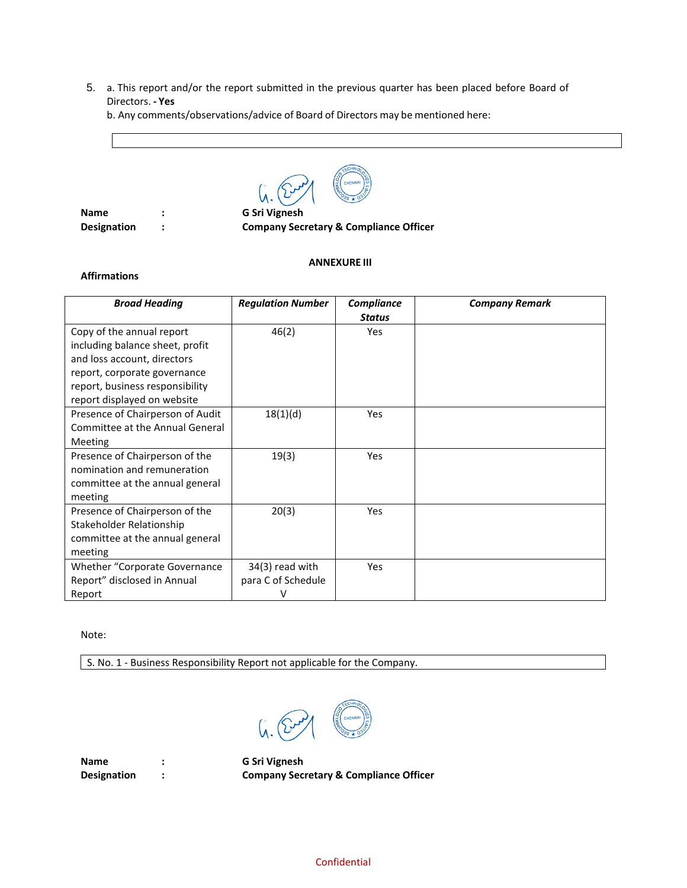5. a. This report and/or the report submitted in the previous quarter has been placed before Board of Directors. **- Yes**

b. Any comments/observations/advice of Board of Directors may be mentioned here:



**Name : G Sri Vignesh**

**Designation : Company Secretary & Compliance Officer**

# **ANNEXURE III**

#### **Affirmations**

| <b>Broad Heading</b>                 | <b>Regulation Number</b> | <b>Compliance</b><br><b>Status</b> | <b>Company Remark</b> |
|--------------------------------------|--------------------------|------------------------------------|-----------------------|
| Copy of the annual report            | 46(2)                    | <b>Yes</b>                         |                       |
| including balance sheet, profit      |                          |                                    |                       |
| and loss account, directors          |                          |                                    |                       |
| report, corporate governance         |                          |                                    |                       |
| report, business responsibility      |                          |                                    |                       |
| report displayed on website          |                          |                                    |                       |
| Presence of Chairperson of Audit     | 18(1)(d)                 | Yes                                |                       |
| Committee at the Annual General      |                          |                                    |                       |
| Meeting                              |                          |                                    |                       |
| Presence of Chairperson of the       | 19(3)                    | <b>Yes</b>                         |                       |
| nomination and remuneration          |                          |                                    |                       |
| committee at the annual general      |                          |                                    |                       |
| meeting                              |                          |                                    |                       |
| Presence of Chairperson of the       | 20(3)                    | Yes                                |                       |
| Stakeholder Relationship             |                          |                                    |                       |
| committee at the annual general      |                          |                                    |                       |
| meeting                              |                          |                                    |                       |
| <b>Whether "Corporate Governance</b> | $34(3)$ read with        | Yes                                |                       |
| Report" disclosed in Annual          | para C of Schedule       |                                    |                       |
| Report                               |                          |                                    |                       |

Note:

S. No. 1 - Business Responsibility Report not applicable for the Company.



**Name : G Sri Vignesh**

**Designation : Company Secretary & Compliance Officer**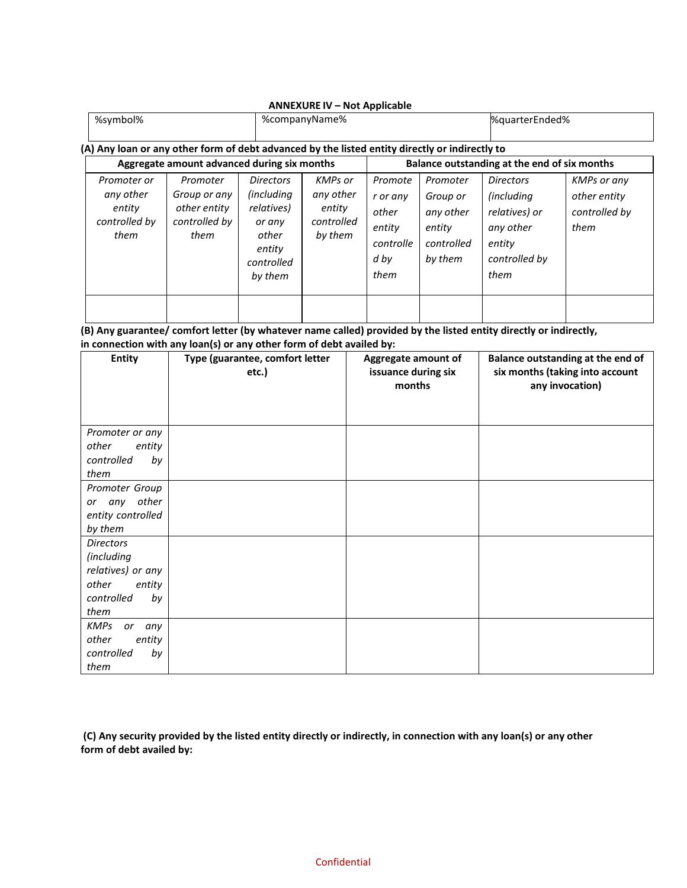|                                                                                                |                                                                   |                                                                                                           | <b>ANNEXURE IV - Not Applicable</b>                            |                                                                     |                                                                      |                                                                                                         |                                                             |
|------------------------------------------------------------------------------------------------|-------------------------------------------------------------------|-----------------------------------------------------------------------------------------------------------|----------------------------------------------------------------|---------------------------------------------------------------------|----------------------------------------------------------------------|---------------------------------------------------------------------------------------------------------|-------------------------------------------------------------|
| %symbol%                                                                                       |                                                                   | %companyName%                                                                                             |                                                                |                                                                     |                                                                      | %quarterEnded%                                                                                          |                                                             |
| (A) Any loan or any other form of debt advanced by the listed entity directly or indirectly to |                                                                   |                                                                                                           |                                                                |                                                                     |                                                                      |                                                                                                         |                                                             |
| Aggregate amount advanced during six months                                                    |                                                                   |                                                                                                           | Balance outstanding at the end of six months                   |                                                                     |                                                                      |                                                                                                         |                                                             |
| Promoter or<br>any other<br>entity<br>controlled by<br>them                                    | Promoter<br>Group or any<br>other entity<br>controlled by<br>them | <b>Directors</b><br><i>(including</i><br>relatives)<br>or any<br>other<br>entity<br>controlled<br>by them | <b>KMPs</b> or<br>any other<br>entity<br>controlled<br>by them | Promote<br>r or any<br>other<br>entity<br>controlle<br>d by<br>them | Promoter<br>Group or<br>any other<br>entity<br>controlled<br>by them | <b>Directors</b><br><i>(including)</i><br>relatives) or<br>any other<br>entity<br>controlled by<br>them | <b>KMPs or any</b><br>other entity<br>controlled by<br>them |
|                                                                                                |                                                                   |                                                                                                           |                                                                |                                                                     |                                                                      |                                                                                                         |                                                             |

**(B) Any guarantee/ comfort letter (by whatever name called) provided by the listed entity directly or indirectly, in connection with any loan(s) or any other form of debt availed by:**

| <b>Entity</b>            | Type (guarantee, comfort letter<br>etc.) | Aggregate amount of<br>issuance during six<br>months | Balance outstanding at the end of<br>six months (taking into account<br>any invocation) |
|--------------------------|------------------------------------------|------------------------------------------------------|-----------------------------------------------------------------------------------------|
| Promoter or any          |                                          |                                                      |                                                                                         |
| other<br>entity          |                                          |                                                      |                                                                                         |
| controlled<br>by         |                                          |                                                      |                                                                                         |
| them                     |                                          |                                                      |                                                                                         |
| Promoter Group           |                                          |                                                      |                                                                                         |
| or any other             |                                          |                                                      |                                                                                         |
| entity controlled        |                                          |                                                      |                                                                                         |
| by them                  |                                          |                                                      |                                                                                         |
| <b>Directors</b>         |                                          |                                                      |                                                                                         |
| <i>(including</i>        |                                          |                                                      |                                                                                         |
| relatives) or any        |                                          |                                                      |                                                                                         |
| other<br>entity          |                                          |                                                      |                                                                                         |
| controlled<br>by         |                                          |                                                      |                                                                                         |
| them                     |                                          |                                                      |                                                                                         |
| <b>KMPs</b><br>or<br>any |                                          |                                                      |                                                                                         |
| other<br>entity          |                                          |                                                      |                                                                                         |
| controlled<br>by         |                                          |                                                      |                                                                                         |
| them                     |                                          |                                                      |                                                                                         |

**(C) Any security provided by the listed entity directly or indirectly, in connection with any loan(s) or any other form of debt availed by:**